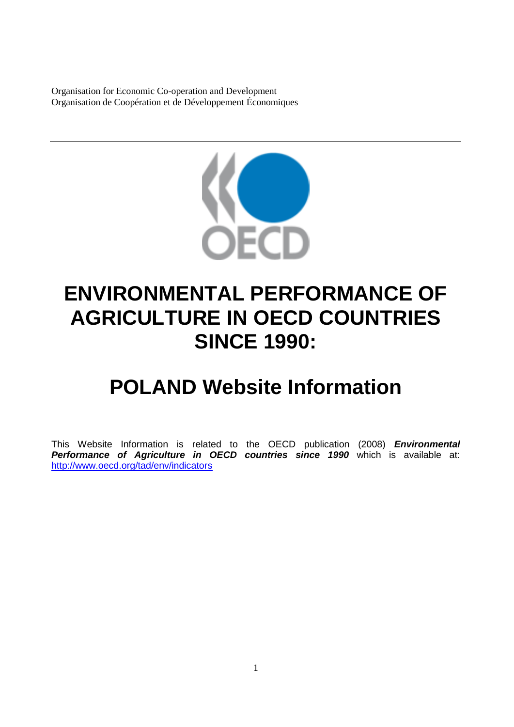Organisation for Economic Co-operation and Development Organisation de Coopération et de Développement Économiques



# **ENVIRONMENTAL PERFORMANCE OF AGRICULTURE IN OECD COUNTRIES SINCE 1990:**

# **POLAND Website Information**

This Website Information is related to the OECD publication (2008) *Environmental Performance of Agriculture in OECD countries since 1990* which is available at: <http://www.oecd.org/tad/env/indicators>